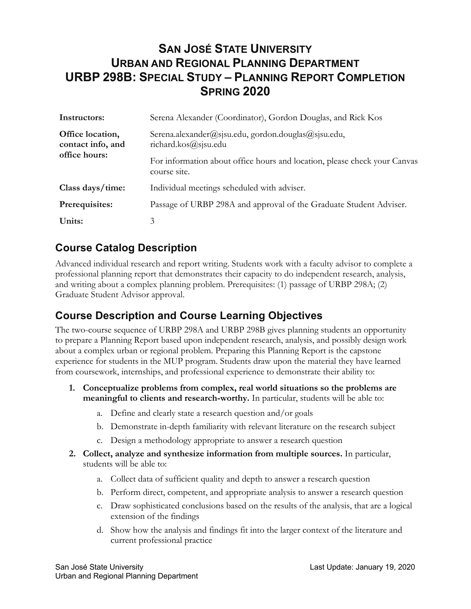# **SAN JOSÉ STATE UNIVERSITY URBAN AND REGIONAL PLANNING DEPARTMENT URBP 298B: SPECIAL STUDY – PLANNING REPORT COMPLETION SPRING 2020**

| Instructors:                                           | Serena Alexander (Coordinator), Gordon Douglas, and Rick Kos                              |  |
|--------------------------------------------------------|-------------------------------------------------------------------------------------------|--|
| Office location,<br>contact info, and<br>office hours: | Serena.alexander@sjsu.edu, gordon.douglas@sjsu.edu,<br>richard.kos@sjsu.edu               |  |
|                                                        | For information about office hours and location, please check your Canvas<br>course site. |  |
| Class days/time:                                       | Individual meetings scheduled with adviser.                                               |  |
| Prerequisites:                                         | Passage of URBP 298A and approval of the Graduate Student Adviser.                        |  |
| Units:                                                 | 3                                                                                         |  |

#### **Course Catalog Description**

Advanced individual research and report writing. Students work with a faculty advisor to complete a professional planning report that demonstrates their capacity to do independent research, analysis, and writing about a complex planning problem. Prerequisites: (1) passage of URBP 298A; (2) Graduate Student Advisor approval.

#### **Course Description and Course Learning Objectives**

The two-course sequence of URBP 298A and URBP 298B gives planning students an opportunity to prepare a Planning Report based upon independent research, analysis, and possibly design work about a complex urban or regional problem. Preparing this Planning Report is the capstone experience for students in the MUP program. Students draw upon the material they have learned from coursework, internships, and professional experience to demonstrate their ability to:

- **1. Conceptualize problems from complex, real world situations so the problems are meaningful to clients and research-worthy.** In particular, students will be able to:
	- a. Define and clearly state a research question and/or goals
	- b. Demonstrate in-depth familiarity with relevant literature on the research subject
	- c. Design a methodology appropriate to answer a research question
- **2. Collect, analyze and synthesize information from multiple sources.** In particular, students will be able to:
	- a. Collect data of sufficient quality and depth to answer a research question
	- b. Perform direct, competent, and appropriate analysis to answer a research question
	- c. Draw sophisticated conclusions based on the results of the analysis, that are a logical extension of the findings
	- d. Show how the analysis and findings fit into the larger context of the literature and current professional practice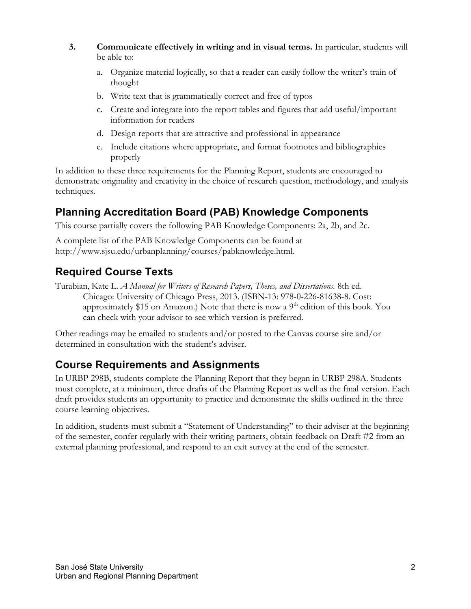- **3. Communicate effectively in writing and in visual terms.** In particular, students will be able to:
	- a. Organize material logically, so that a reader can easily follow the writer's train of thought
	- b. Write text that is grammatically correct and free of typos
	- c. Create and integrate into the report tables and figures that add useful/important information for readers
	- d. Design reports that are attractive and professional in appearance
	- e. Include citations where appropriate, and format footnotes and bibliographies properly

In addition to these three requirements for the Planning Report, students are encouraged to demonstrate originality and creativity in the choice of research question, methodology, and analysis techniques.

# **Planning Accreditation Board (PAB) Knowledge Components**

This course partially covers the following PAB Knowledge Components: 2a, 2b, and 2c.

A complete list of the PAB Knowledge Components can be found at http://www.sjsu.edu/urbanplanning/courses/pabknowledge.html.

# **Required Course Texts**

Turabian, Kate L. *A Manual for Writers of Research Papers, Theses, and Dissertations.* 8th ed. Chicago: University of Chicago Press, 2013. (ISBN-13: 978-0-226-81638-8. Cost: approximately \$15 on Amazon.) Note that there is now a 9<sup>th</sup> edition of this book. You can check with your advisor to see which version is preferred.

Other readings may be emailed to students and/or posted to the Canvas course site and/or determined in consultation with the student's adviser.

## **Course Requirements and Assignments**

In URBP 298B, students complete the Planning Report that they began in URBP 298A. Students must complete, at a minimum, three drafts of the Planning Report as well as the final version. Each draft provides students an opportunity to practice and demonstrate the skills outlined in the three course learning objectives.

In addition, students must submit a "Statement of Understanding" to their adviser at the beginning of the semester, confer regularly with their writing partners, obtain feedback on Draft #2 from an external planning professional, and respond to an exit survey at the end of the semester.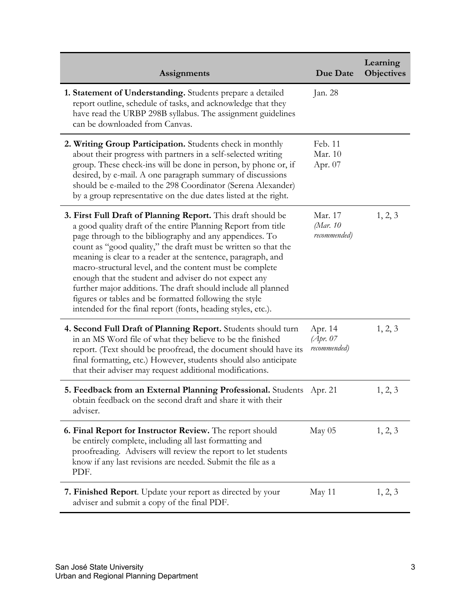| Assignments                                                                                                                                                                                                                                                                                                                                                                                                                                                                                                                                                                                                                                | Due Date                             | Learning<br><b>Objectives</b> |
|--------------------------------------------------------------------------------------------------------------------------------------------------------------------------------------------------------------------------------------------------------------------------------------------------------------------------------------------------------------------------------------------------------------------------------------------------------------------------------------------------------------------------------------------------------------------------------------------------------------------------------------------|--------------------------------------|-------------------------------|
| 1. Statement of Understanding. Students prepare a detailed<br>report outline, schedule of tasks, and acknowledge that they<br>have read the URBP 298B syllabus. The assignment guidelines<br>can be downloaded from Canvas.                                                                                                                                                                                                                                                                                                                                                                                                                | Jan. 28                              |                               |
| 2. Writing Group Participation. Students check in monthly<br>about their progress with partners in a self-selected writing<br>group. These check-ins will be done in person, by phone or, if<br>desired, by e-mail. A one paragraph summary of discussions<br>should be e-mailed to the 298 Coordinator (Serena Alexander)<br>by a group representative on the due dates listed at the right.                                                                                                                                                                                                                                              | Feb. 11<br>Mar. 10<br>Apr. 07        |                               |
| 3. First Full Draft of Planning Report. This draft should be<br>a good quality draft of the entire Planning Report from title<br>page through to the bibliography and any appendices. To<br>count as "good quality," the draft must be written so that the<br>meaning is clear to a reader at the sentence, paragraph, and<br>macro-structural level, and the content must be complete<br>enough that the student and adviser do not expect any<br>further major additions. The draft should include all planned<br>figures or tables and be formatted following the style<br>intended for the final report (fonts, heading styles, etc.). | Mar. 17<br>(Mar. 10<br>recommended)  | 1, 2, 3                       |
| 4. Second Full Draft of Planning Report. Students should turn<br>in an MS Word file of what they believe to be the finished<br>report. (Text should be proofread, the document should have its<br>final formatting, etc.) However, students should also anticipate<br>that their adviser may request additional modifications.                                                                                                                                                                                                                                                                                                             | Apr. 14<br>(Apr. 07)<br>recommended) | 1, 2, 3                       |
| 5. Feedback from an External Planning Professional. Students Apr. 21<br>obtain feedback on the second draft and share it with their<br>adviser.                                                                                                                                                                                                                                                                                                                                                                                                                                                                                            |                                      | 1, 2, 3                       |
| 6. Final Report for Instructor Review. The report should<br>be entirely complete, including all last formatting and<br>proofreading. Advisers will review the report to let students<br>know if any last revisions are needed. Submit the file as a<br>PDF.                                                                                                                                                                                                                                                                                                                                                                                | May 05                               | 1, 2, 3                       |
| <b>7. Finished Report.</b> Update your report as directed by your<br>adviser and submit a copy of the final PDF.                                                                                                                                                                                                                                                                                                                                                                                                                                                                                                                           | May 11                               | 1, 2, 3                       |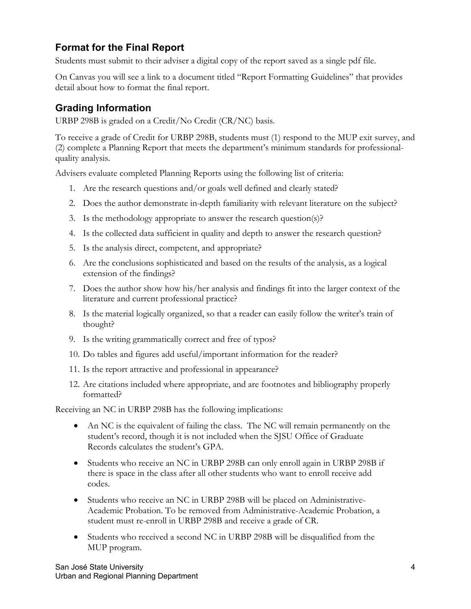#### **Format for the Final Report**

Students must submit to their adviser a digital copy of the report saved as a single pdf file.

On Canvas you will see a link to a document titled "Report Formatting Guidelines" that provides detail about how to format the final report.

#### **Grading Information**

URBP 298B is graded on a Credit/No Credit (CR/NC) basis.

To receive a grade of Credit for URBP 298B, students must (1) respond to the MUP exit survey, and (2) complete a Planning Report that meets the department's minimum standards for professionalquality analysis.

Advisers evaluate completed Planning Reports using the following list of criteria:

- 1. Are the research questions and/or goals well defined and clearly stated?
- 2. Does the author demonstrate in-depth familiarity with relevant literature on the subject?
- 3. Is the methodology appropriate to answer the research question(s)?
- 4. Is the collected data sufficient in quality and depth to answer the research question?
- 5. Is the analysis direct, competent, and appropriate?
- 6. Are the conclusions sophisticated and based on the results of the analysis, as a logical extension of the findings?
- 7. Does the author show how his/her analysis and findings fit into the larger context of the literature and current professional practice?
- 8. Is the material logically organized, so that a reader can easily follow the writer's train of thought?
- 9. Is the writing grammatically correct and free of typos?
- 10. Do tables and figures add useful/important information for the reader?
- 11. Is the report attractive and professional in appearance?
- 12. Are citations included where appropriate, and are footnotes and bibliography properly formatted?

Receiving an NC in URBP 298B has the following implications:

- An NC is the equivalent of failing the class. The NC will remain permanently on the student's record, though it is not included when the SJSU Office of Graduate Records calculates the student's GPA.
- Students who receive an NC in URBP 298B can only enroll again in URBP 298B if there is space in the class after all other students who want to enroll receive add codes.
- Students who receive an NC in URBP 298B will be placed on Administrative-Academic Probation. To be removed from Administrative-Academic Probation, a student must re-enroll in URBP 298B and receive a grade of CR.
- Students who received a second NC in URBP 298B will be disqualified from the MUP program.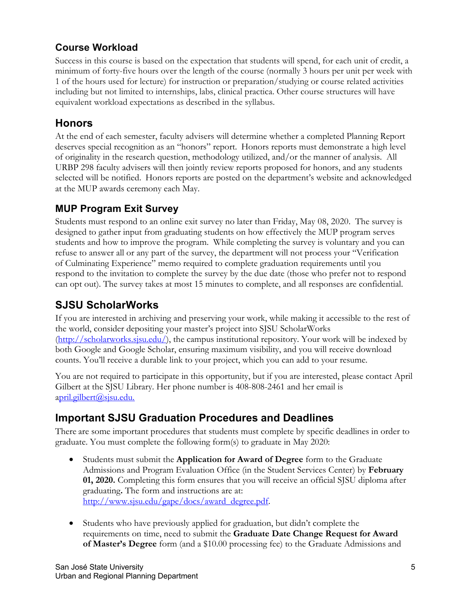## **Course Workload**

Success in this course is based on the expectation that students will spend, for each unit of credit, a minimum of forty-five hours over the length of the course (normally 3 hours per unit per week with 1 of the hours used for lecture) for instruction or preparation/studying or course related activities including but not limited to internships, labs, clinical practica. Other course structures will have equivalent workload expectations as described in the syllabus.

#### **Honors**

At the end of each semester, faculty advisers will determine whether a completed Planning Report deserves special recognition as an "honors" report. Honors reports must demonstrate a high level of originality in the research question, methodology utilized, and/or the manner of analysis. All URBP 298 faculty advisers will then jointly review reports proposed for honors, and any students selected will be notified. Honors reports are posted on the department's website and acknowledged at the MUP awards ceremony each May.

#### **MUP Program Exit Survey**

Students must respond to an online exit survey no later than Friday, May 08, 2020. The survey is designed to gather input from graduating students on how effectively the MUP program serves students and how to improve the program. While completing the survey is voluntary and you can refuse to answer all or any part of the survey, the department will not process your "Verification of Culminating Experience" memo required to complete graduation requirements until you respond to the invitation to complete the survey by the due date (those who prefer not to respond can opt out). The survey takes at most 15 minutes to complete, and all responses are confidential.

## **SJSU ScholarWorks**

If you are interested in archiving and preserving your work, while making it accessible to the rest of the world, consider depositing your master's project into SJSU ScholarWorks (http://scholarworks.sjsu.edu/), the campus institutional repository. Your work will be indexed by both Google and Google Scholar, ensuring maximum visibility, and you will receive download counts. You'll receive a durable link to your project, which you can add to your resume.

You are not required to participate in this opportunity, but if you are interested, please contact April Gilbert at the SJSU Library. Her phone number is 408-808-2461 and her email is april.gilbert@sjsu.edu.

## **Important SJSU Graduation Procedures and Deadlines**

There are some important procedures that students must complete by specific deadlines in order to graduate. You must complete the following form(s) to graduate in May 2020:

- Students must submit the **Application for Award of Degree** form to the Graduate Admissions and Program Evaluation Office (in the Student Services Center) by **February 01, 2020.** Completing this form ensures that you will receive an official SJSU diploma after graduating**.** The form and instructions are at: http://www.sjsu.edu/gape/docs/award\_degree.pdf.
- Students who have previously applied for graduation, but didn't complete the requirements on time, need to submit the **Graduate Date Change Request for Award of Master's Degree** form (and a \$10.00 processing fee) to the Graduate Admissions and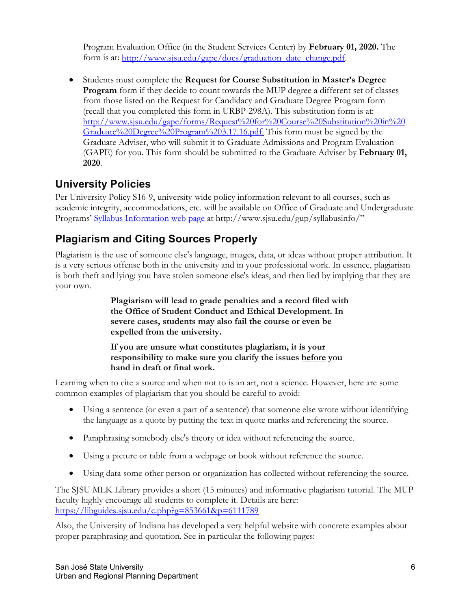Program Evaluation Office (in the Student Services Center) by **February 01, 2020.** The form is at: http://www.sjsu.edu/gape/docs/graduation\_date\_change.pdf.

• Students must complete the **Request for Course Substitution in Master's Degree Program** form if they decide to count towards the MUP degree a different set of classes from those listed on the Request for Candidacy and Graduate Degree Program form (recall that you completed this form in URBP-298A). This substitution form is at: http://www.sjsu.edu/gape/forms/Request%20for%20Course%20Substitution%20in%20 Graduate%20Degree%20Program%203.17.16.pdf. This form must be signed by the Graduate Adviser, who will submit it to Graduate Admissions and Program Evaluation (GAPE) for you. This form should be submitted to the Graduate Adviser by **February 01, 2020**.

## **University Policies**

Per University Policy S16-9, university-wide policy information relevant to all courses, such as academic integrity, accommodations, etc. will be available on Office of Graduate and Undergraduate Programs' Syllabus Information web page at http://www.sjsu.edu/gup/syllabusinfo/"

## **Plagiarism and Citing Sources Properly**

Plagiarism is the use of someone else's language, images, data, or ideas without proper attribution. It is a very serious offense both in the university and in your professional work. In essence, plagiarism is both theft and lying: you have stolen someone else's ideas, and then lied by implying that they are your own.

> **Plagiarism will lead to grade penalties and a record filed with the Office of Student Conduct and Ethical Development. In severe cases, students may also fail the course or even be expelled from the university.**

**If you are unsure what constitutes plagiarism, it is your responsibility to make sure you clarify the issues before you hand in draft or final work.**

Learning when to cite a source and when not to is an art, not a science. However, here are some common examples of plagiarism that you should be careful to avoid:

- Using a sentence (or even a part of a sentence) that someone else wrote without identifying the language as a quote by putting the text in quote marks and referencing the source.
- Paraphrasing somebody else's theory or idea without referencing the source.
- Using a picture or table from a webpage or book without reference the source.
- Using data some other person or organization has collected without referencing the source.

The SJSU MLK Library provides a short (15 minutes) and informative plagiarism tutorial. The MUP faculty highly encourage all students to complete it. Details are here: https://libguides.sjsu.edu/c.php?g=853661&p=6111789

Also, the University of Indiana has developed a very helpful website with concrete examples about proper paraphrasing and quotation. See in particular the following pages: